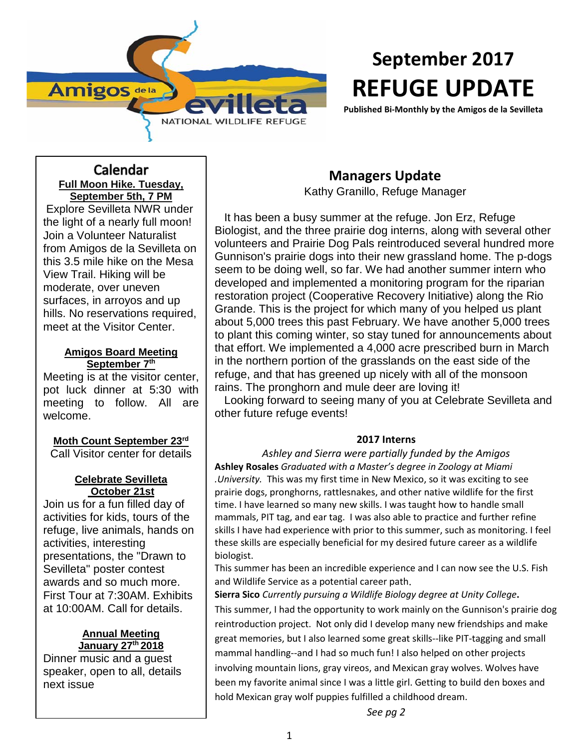

# **September 2017 REFUGE UPDATE**

**Published Bi-Monthly by the Amigos de la Sevilleta**

# Calendar **Full Moon Hike. Tuesday, September 5th, 7 PM**

Explore Sevilleta NWR under the light of a nearly full moon! Join a Volunteer Naturalist from Amigos de la Sevilleta on this 3.5 mile hike on the Mesa View Trail. Hiking will be moderate, over uneven surfaces, in arroyos and up hills. No reservations required, meet at the Visitor Center.

### **Amigos Board Meeting September 7th**

Meeting is at the visitor center, pot luck dinner at 5:30 with meeting to follow. All are welcome.

**Moth Count September 23rd** Call Visitor center for details

#### **Celebrate Sevilleta October 21st**

Join us for a fun filled day of activities for kids, tours of the refuge, live animals, hands on activities, interesting presentations, the "Drawn to Sevilleta" poster contest awards and so much more. First Tour at 7:30AM. Exhibits at 10:00AM. Call for details.

#### **Annual Meeting January 27th 2018**

Dinner music and a guest speaker, open to all, details next issue

# **Managers Update**

Kathy Granillo, Refuge Manager

 It has been a busy summer at the refuge. Jon Erz, Refuge Biologist, and the three prairie dog interns, along with several other volunteers and Prairie Dog Pals reintroduced several hundred more Gunnison's prairie dogs into their new grassland home. The p-dogs seem to be doing well, so far. We had another summer intern who developed and implemented a monitoring program for the riparian restoration project (Cooperative Recovery Initiative) along the Rio Grande. This is the project for which many of you helped us plant about 5,000 trees this past February. We have another 5,000 trees to plant this coming winter, so stay tuned for announcements about that effort. We implemented a 4,000 acre prescribed burn in March in the northern portion of the grasslands on the east side of the refuge, and that has greened up nicely with all of the monsoon rains. The pronghorn and mule deer are loving it!

 Looking forward to seeing many of you at Celebrate Sevilleta and other future refuge events!

## **2017 Interns**

*Ashley and Sierra were partially funded by the Amigos* **Ashley Rosales** *Graduated with a Master's degree in Zoology at Miami .University.* This was my first time in New Mexico, so it was exciting to see prairie dogs, pronghorns, rattlesnakes, and other native wildlife for the first time. I have learned so many new skills. I was taught how to handle small mammals, PIT tag, and ear tag. I was also able to practice and further refine skills I have had experience with prior to this summer, such as monitoring. I feel these skills are especially beneficial for my desired future career as a wildlife biologist.

This summer has been an incredible experience and I can now see the U.S. Fish and Wildlife Service as a potential career path.

**Sierra Sico** *Currently pursuing a Wildlife Biology degree at Unity College***.**  This summer, I had the opportunity to work mainly on the Gunnison's prairie dog reintroduction project. Not only did I develop many new friendships and make great memories, but I also learned some great skills--like PIT-tagging and small mammal handling--and I had so much fun! I also helped on other projects involving mountain lions, gray vireos, and Mexican gray wolves. Wolves have been my favorite animal since I was a little girl. Getting to build den boxes and hold Mexican gray wolf puppies fulfilled a childhood dream.

*See pg 2*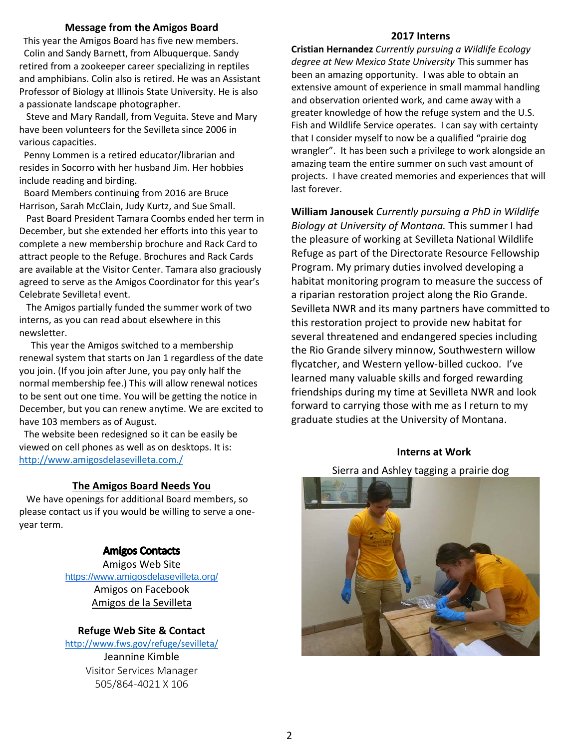#### **Message from the Amigos Board**

 This year the Amigos Board has five new members. Colin and Sandy Barnett, from Albuquerque. Sandy retired from a zookeeper career specializing in reptiles and amphibians. Colin also is retired. He was an Assistant Professor of Biology at Illinois State University. He is also a passionate landscape photographer.

 Steve and Mary Randall, from Veguita. Steve and Mary have been volunteers for the Sevilleta since 2006 in various capacities.

 Penny Lommen is a retired educator/librarian and resides in Socorro with her husband Jim. Her hobbies include reading and birding.

 Board Members continuing from 2016 are Bruce Harrison, Sarah McClain, Judy Kurtz, and Sue Small.

 Past Board President Tamara Coombs ended her term in December, but she extended her efforts into this year to complete a new membership brochure and Rack Card to attract people to the Refuge. Brochures and Rack Cards are available at the Visitor Center. Tamara also graciously agreed to serve as the Amigos Coordinator for this year's Celebrate Sevilleta! event.

 The Amigos partially funded the summer work of two interns, as you can read about elsewhere in this newsletter.

 This year the Amigos switched to a membership renewal system that starts on Jan 1 regardless of the date you join. (If you join after June, you pay only half the normal membership fee.) This will allow renewal notices to be sent out one time. You will be getting the notice in December, but you can renew anytime. We are excited to have 103 members as of August.

 The website been redesigned so it can be easily be viewed on cell phones as well as on desktops. It is: <http://www.amigosdelasevilleta.com./>

#### **The Amigos Board Needs You**

 We have openings for additional Board members, so please contact us if you would be willing to serve a oneyear term.

#### **Amigos Contacts**

Amigos Web Site <https://www.amigosdelasevilleta.org/> Amigos on Facebook Amigos de la Sevilleta

#### **Refuge Web Site & Contact**

<http://www.fws.gov/refuge/sevilleta/>

Jeannine Kimble Visitor Services Manager 505/864-4021 X 106

#### **2017 Interns**

**Cristian Hernandez** *Currently pursuing a Wildlife Ecology degree at New Mexico State University* This summer has been an amazing opportunity. I was able to obtain an extensive amount of experience in small mammal handling and observation oriented work, and came away with a greater knowledge of how the refuge system and the U.S. Fish and Wildlife Service operates. I can say with certainty that I consider myself to now be a qualified "prairie dog wrangler". It has been such a privilege to work alongside an amazing team the entire summer on such vast amount of projects. I have created memories and experiences that will last forever.

**William Janousek** *Currently pursuing a PhD in Wildlife Biology at University of Montana.* This summer I had the pleasure of working at Sevilleta National Wildlife Refuge as part of the Directorate Resource Fellowship Program. My primary duties involved developing a habitat monitoring program to measure the success of a riparian restoration project along the Rio Grande. Sevilleta NWR and its many partners have committed to this restoration project to provide new habitat for several threatened and endangered species including the Rio Grande silvery minnow, Southwestern willow flycatcher, and Western yellow-billed cuckoo. I've learned many valuable skills and forged rewarding friendships during my time at Sevilleta NWR and look forward to carrying those with me as I return to my graduate studies at the University of Montana.

#### **Interns at Work**

#### Sierra and Ashley tagging a prairie dog